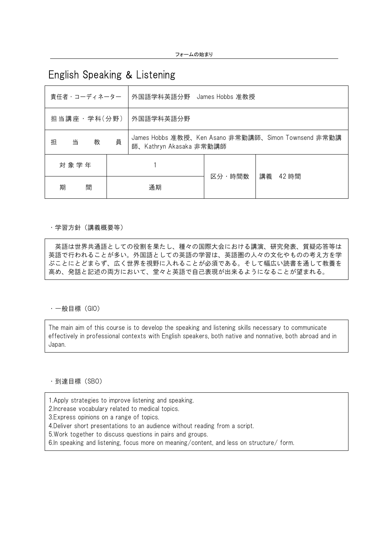# English Speaking & Listening

| 責任者・コーディネーター |        |   |   | 外国語学科英語分野 James Hobbs 准教授                                                      |                   |  |  |
|--------------|--------|---|---|--------------------------------------------------------------------------------|-------------------|--|--|
| 担当講座・学科(分野)  |        |   |   | 外国語学科英語分野                                                                      |                   |  |  |
| 担            | 当      | 教 | 員 | James Hobbs 准教授、Ken Asano 非常勤講師、Simon Townsend 非常勤講<br>師、Kathryn Akasaka 非常勤講師 |                   |  |  |
| 対象学年         |        |   |   |                                                                                |                   |  |  |
|              | 間<br>期 |   |   | 通期                                                                             | 区分・時間数<br>講義 42時間 |  |  |

### ・学習方針(講義概要等)

英語は世界共通語としての役割を果たし、種々の国際大会における講演、研究発表、質疑応答等は 英語で行われることが多い。外国語としての英語の学習は、英語圏の人々の文化やものの考え方を学 ぶことにとどまらず、広く世界を視野に入れることが必須である。そして幅広い読書を通して教養を 高め、発話と記述の両方において、堂々と英語で自己表現が出来るようになることが望まれる。

### ・一般目標(GIO)

The main aim of this course is to develop the speaking and listening skills necessary to communicate effectively in professional contexts with English speakers, both native and nonnative, both abroad and in Japan.

・到達目標(SBO)

1.Apply strategies to improve listening and speaking.

2.Increase vocabulary related to medical topics.

3.Express opinions on a range of topics.

4.Deliver short presentations to an audience without reading from a script.

5.Work together to discuss questions in pairs and groups.

6.In speaking and listening, focus more on meaning/content, and less on structure/ form.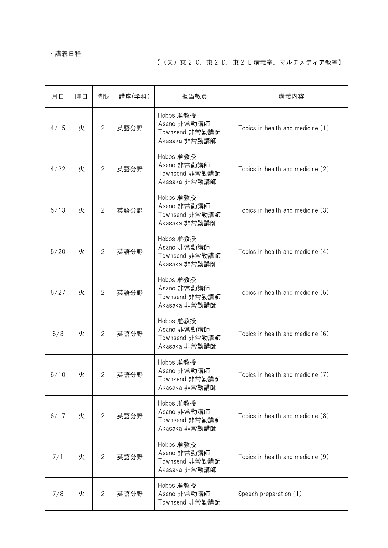## ・講義日程

# 【(矢)東 2-C、東 2-D、東 2-E 講義室、マルチメディア教室】

| 月日   | 曜日 | 時限             | 講座(学科) | 担当教員                                                        | 講義内容                              |
|------|----|----------------|--------|-------------------------------------------------------------|-----------------------------------|
| 4/15 | 火  | $\overline{2}$ | 英語分野   | Hobbs 准教授<br>Asano 非常勤講師<br>Townsend 非常勤講師<br>Akasaka 非常勤講師 | Topics in health and medicine (1) |
| 4/22 | 火  | $\overline{2}$ | 英語分野   | Hobbs 准教授<br>Asano 非常勤講師<br>Townsend 非常勤講師<br>Akasaka 非常勤講師 | Topics in health and medicine (2) |
| 5/13 | 火  | $\overline{2}$ | 英語分野   | Hobbs 准教授<br>Asano 非常勤講師<br>Townsend 非常勤講師<br>Akasaka 非常勤講師 | Topics in health and medicine (3) |
| 5/20 | 火  | $\overline{2}$ | 英語分野   | Hobbs 准教授<br>Asano 非常勤講師<br>Townsend 非常勤講師<br>Akasaka 非常勤講師 | Topics in health and medicine (4) |
| 5/27 | 火  | $\overline{2}$ | 英語分野   | Hobbs 准教授<br>Asano 非常勤講師<br>Townsend 非常勤講師<br>Akasaka 非常勤講師 | Topics in health and medicine (5) |
| 6/3  | 火  | $\overline{2}$ | 英語分野   | Hobbs 准教授<br>Asano 非常勤講師<br>Townsend 非常勤講師<br>Akasaka 非常勤講師 | Topics in health and medicine (6) |
| 6/10 | 火  | $\overline{2}$ | 英語分野   | Hobbs 准教授<br>Asano 非常勤講師<br>Townsend 非常勤講師<br>Akasaka 非常勤講師 | Topics in health and medicine (7) |
| 6/17 | 火  | $\overline{2}$ | 英語分野   | Hobbs 准教授<br>Asano 非常勤講師<br>Townsend 非常勤講師<br>Akasaka 非常勤講師 | Topics in health and medicine (8) |
| 7/1  | 火  | $\overline{2}$ | 英語分野   | Hobbs 准教授<br>Asano 非常勤講師<br>Townsend 非常勤講師<br>Akasaka 非常勤講師 | Topics in health and medicine (9) |
| 7/8  | 火  | $\overline{2}$ | 英語分野   | Hobbs 准教授<br>Asano 非常勤講師<br>Townsend 非常勤講師                  | Speech preparation (1)            |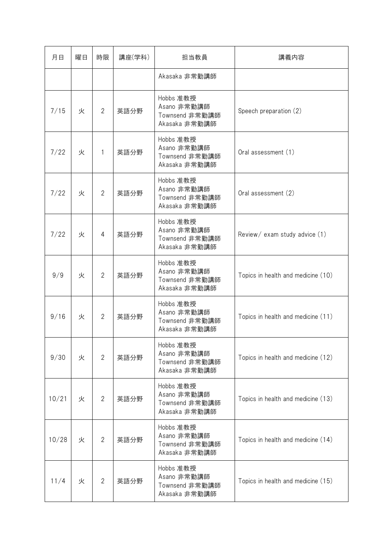| 月日    | 曜日 | 時限             | 講座(学科) | 担当教員                                                        | 講義内容                               |
|-------|----|----------------|--------|-------------------------------------------------------------|------------------------------------|
|       |    |                |        | Akasaka 非常勤講師                                               |                                    |
| 7/15  | 火  | $\overline{2}$ | 英語分野   | Hobbs 准教授<br>Asano 非常勤講師<br>Townsend 非常勤講師<br>Akasaka 非常勤講師 | Speech preparation (2)             |
| 7/22  | 火  | $\mathbf{1}$   | 英語分野   | Hobbs 准教授<br>Asano 非常勤講師<br>Townsend 非常勤講師<br>Akasaka 非常勤講師 | Oral assessment (1)                |
| 7/22  | 火  | $\overline{2}$ | 英語分野   | Hobbs 准教授<br>Asano 非常勤講師<br>Townsend 非常勤講師<br>Akasaka 非常勤講師 | Oral assessment (2)                |
| 7/22  | 火  | 4              | 英語分野   | Hobbs 准教授<br>Asano 非常勤講師<br>Townsend 非常勤講師<br>Akasaka 非常勤講師 | Review/ exam study advice (1)      |
| 9/9   | 火  | $\overline{2}$ | 英語分野   | Hobbs 准教授<br>Asano 非常勤講師<br>Townsend 非常勤講師<br>Akasaka 非常勤講師 | Topics in health and medicine (10) |
| 9/16  | 火  | $\overline{2}$ | 英語分野   | Hobbs 准教授<br>Asano 非常勤講師<br>Townsend 非常勤講師<br>Akasaka 非常勤講師 | Topics in health and medicine (11) |
| 9/30  | 火  | $\overline{2}$ | 英語分野   | Hobbs 准教授<br>Asano 非常勤講師<br>Townsend 非常勤講師<br>Akasaka 非常勤講師 | Topics in health and medicine (12) |
| 10/21 | 火  | $\overline{2}$ | 英語分野   | Hobbs 准教授<br>Asano 非常勤講師<br>Townsend 非常勤講師<br>Akasaka 非常勤講師 | Topics in health and medicine (13) |
| 10/28 | 火  | $\overline{2}$ | 英語分野   | Hobbs 准教授<br>Asano 非常勤講師<br>Townsend 非常勤講師<br>Akasaka 非常勤講師 | Topics in health and medicine (14) |
| 11/4  | 火  | $\mathbf{2}$   | 英語分野   | Hobbs 准教授<br>Asano 非常勤講師<br>Townsend 非常勤講師<br>Akasaka 非常勤講師 | Topics in health and medicine (15) |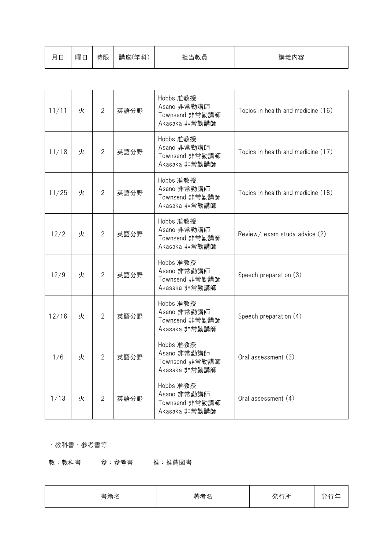| 11/11 | 火 | $\overline{2}$ | 英語分野 | Hobbs 准教授<br>Asano 非常勤講師<br>Townsend 非常勤講師<br>Akasaka 非常勤講師 | Topics in health and medicine (16) |
|-------|---|----------------|------|-------------------------------------------------------------|------------------------------------|
| 11/18 | 火 | $\overline{2}$ | 英語分野 | Hobbs 准教授<br>Asano 非常勤講師<br>Townsend 非常勤講師<br>Akasaka 非常勤講師 | Topics in health and medicine (17) |
| 11/25 | 火 | $\overline{2}$ | 英語分野 | Hobbs 准教授<br>Asano 非常勤講師<br>Townsend 非常勤講師<br>Akasaka 非常勤講師 | Topics in health and medicine (18) |
| 12/2  | 火 | $\overline{2}$ | 英語分野 | Hobbs 准教授<br>Asano 非常勤講師<br>Townsend 非常勤講師<br>Akasaka 非常勤講師 | Review/ exam study advice (2)      |
| 12/9  | 火 | $\overline{2}$ | 英語分野 | Hobbs 准教授<br>Asano 非常勤講師<br>Townsend 非常勤講師<br>Akasaka 非常勤講師 | Speech preparation (3)             |
| 12/16 | 火 | $\overline{2}$ | 英語分野 | Hobbs 准教授<br>Asano 非常勤講師<br>Townsend 非常勤講師<br>Akasaka 非常勤講師 | Speech preparation (4)             |
| 1/6   | 火 | $\overline{2}$ | 英語分野 | Hobbs 准教授<br>Asano 非常勤講師<br>Townsend 非常勤講師<br>Akasaka 非常勤講師 | Oral assessment (3)                |
| 1/13  | 火 | $\overline{2}$ | 英語分野 | Hobbs 准教授<br>Asano 非常勤講師<br>Townsend 非常勤講師<br>Akasaka 非常勤講師 | Oral assessment (4)                |

## ・教科書・参考書等

教:教科書 参:参考書 推:推薦図書

| 香耤名 | ₩.<br>目<br>−<br>≃ | - -<br>. |  |
|-----|-------------------|----------|--|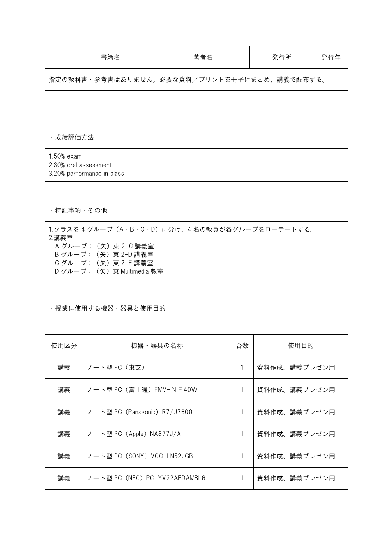| 書籍名                                          | 著者名 | 発行所 | 発行年 |
|----------------------------------------------|-----|-----|-----|
| 「指定の教科書・参考書はありません。必要な資料/プリントを冊子にまとめ、講義で配布する。 |     |     |     |

#### ・成績評価方法

| 1.50% exam                  |  |
|-----------------------------|--|
| $\sim$ $\sim$ $\sim$ $\sim$ |  |

- 2.30% oral assessment
- 3.20% performance in class

# ・特記事項・その他

1.クラスを 4 グループ (A·B·C·D) に分け、4 名の教員が各グループをローテートする。 2.講義室 A グループ: (矢) 東 2-C 講義室 B グループ: (矢) 東 2-D 講義室 C グループ: (矢)東 2-E 講義室 D グループ: (矢) 東 Multimedia 教室

## ・授業に使用する機器・器具と使用目的

| 使用区分 | 機器・器具の名称                      | 台数 | 使用目的         |
|------|-------------------------------|----|--------------|
| 講義   | ノート型 PC(東芝)                   |    | 資料作成、講義プレゼン用 |
| 講義   | ノート型 PC(富士通)FMV-NF40W         |    | 資料作成、講義プレゼン用 |
| 講義   | ノート型 PC (Panasonic) R7/U7600  |    | 資料作成、講義プレゼン用 |
| 講義   | ノート型 PC (Apple) NA877J/A      |    | 資料作成、講義プレゼン用 |
| 講義   | ノート型 PC(SONY)VGC-LN52JGB      |    | 資料作成、講義プレゼン用 |
| 講義   | ノート型 PC (NEC) PC-YV22AEDAMBL6 |    | 資料作成、講義プレゼン用 |